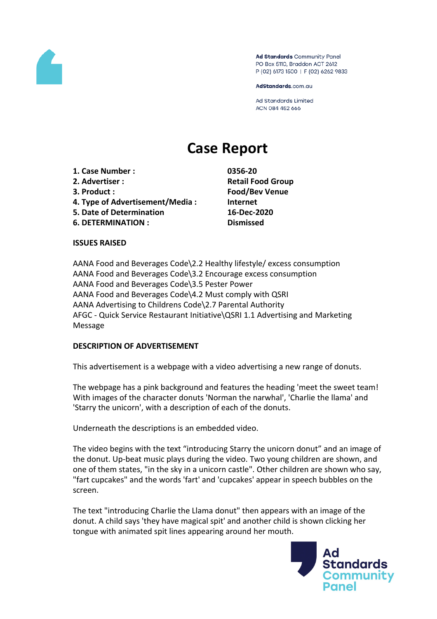

Ad Standards Community Panel PO Box 5110, Braddon ACT 2612 P (02) 6173 1500 | F (02) 6262 9833

AdStandards.com.au

**Ad Standards Limited** ACN 084 452 666

# **Case Report**

**1. Case Number : 0356-20 2. Advertiser : Retail Food Group 3. Product : Food/Bev Venue**

- **4. Type of Advertisement/Media : Internet**
- **5. Date of Determination 16-Dec-2020**
- **6. DETERMINATION : Dismissed**

## **ISSUES RAISED**

AANA Food and Beverages Code\2.2 Healthy lifestyle/ excess consumption AANA Food and Beverages Code\3.2 Encourage excess consumption AANA Food and Beverages Code\3.5 Pester Power AANA Food and Beverages Code\4.2 Must comply with QSRI AANA Advertising to Childrens Code\2.7 Parental Authority AFGC - Quick Service Restaurant Initiative\QSRI 1.1 Advertising and Marketing Message

## **DESCRIPTION OF ADVERTISEMENT**

This advertisement is a webpage with a video advertising a new range of donuts.

The webpage has a pink background and features the heading 'meet the sweet team! With images of the character donuts 'Norman the narwhal', 'Charlie the llama' and 'Starry the unicorn', with a description of each of the donuts.

Underneath the descriptions is an embedded video.

The video begins with the text "introducing Starry the unicorn donut" and an image of the donut. Up-beat music plays during the video. Two young children are shown, and one of them states, "in the sky in a unicorn castle". Other children are shown who say, "fart cupcakes" and the words 'fart' and 'cupcakes' appear in speech bubbles on the screen.

The text "introducing Charlie the Llama donut" then appears with an image of the donut. A child says 'they have magical spit' and another child is shown clicking her tongue with animated spit lines appearing around her mouth.

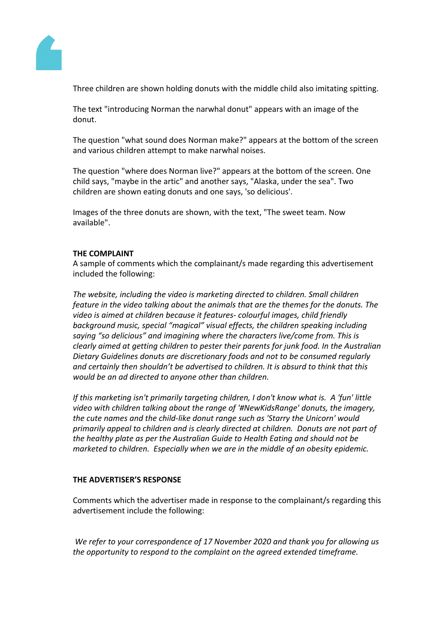

Three children are shown holding donuts with the middle child also imitating spitting.

The text "introducing Norman the narwhal donut" appears with an image of the donut.

The question "what sound does Norman make?" appears at the bottom of the screen and various children attempt to make narwhal noises.

The question "where does Norman live?" appears at the bottom of the screen. One child says, "maybe in the artic" and another says, "Alaska, under the sea". Two children are shown eating donuts and one says, 'so delicious'.

Images of the three donuts are shown, with the text, "The sweet team. Now available".

## **THE COMPLAINT**

A sample of comments which the complainant/s made regarding this advertisement included the following:

*The website, including the video is marketing directed to children. Small children feature in the video talking about the animals that are the themes for the donuts. The video is aimed at children because it features- colourful images, child friendly background music, special "magical" visual effects, the children speaking including saying "so delicious" and imagining where the characters live/come from. This is clearly aimed at getting children to pester their parents for junk food. In the Australian Dietary Guidelines donuts are discretionary foods and not to be consumed regularly and certainly then shouldn't be advertised to children. It is absurd to think that this would be an ad directed to anyone other than children.*

*If this marketing isn't primarily targeting children, I don't know what is. A 'fun' little video with children talking about the range of '#NewKidsRange' donuts, the imagery, the cute names and the child-like donut range such as 'Starry the Unicorn' would primarily appeal to children and is clearly directed at children. Donuts are not part of the healthy plate as per the Australian Guide to Health Eating and should not be marketed to children. Especially when we are in the middle of an obesity epidemic.*

## **THE ADVERTISER'S RESPONSE**

Comments which the advertiser made in response to the complainant/s regarding this advertisement include the following:

*We refer to your correspondence of 17 November 2020 and thank you for allowing us the opportunity to respond to the complaint on the agreed extended timeframe.*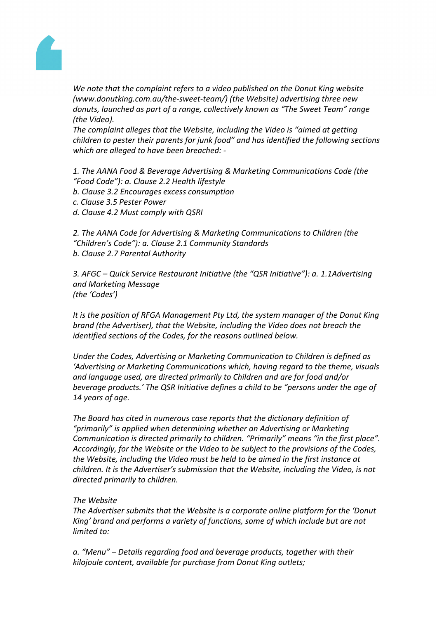

*We note that the complaint refers to a video published on the Donut King website (www.donutking.com.au/the-sweet-team/) (the Website) advertising three new donuts, launched as part of a range, collectively known as "The Sweet Team" range (the Video).*

*The complaint alleges that the Website, including the Video is "aimed at getting children to pester their parents for junk food" and has identified the following sections which are alleged to have been breached: -*

*1. The AANA Food & Beverage Advertising & Marketing Communications Code (the "Food Code"): a. Clause 2.2 Health lifestyle*

- *b. Clause 3.2 Encourages excess consumption*
- *c. Clause 3.5 Pester Power*
- *d. Clause 4.2 Must comply with QSRI*

*2. The AANA Code for Advertising & Marketing Communications to Children (the "Children's Code"): a. Clause 2.1 Community Standards b. Clause 2.7 Parental Authority*

*3. AFGC – Quick Service Restaurant Initiative (the "QSR Initiative"): a. 1.1Advertising and Marketing Message (the 'Codes')*

*It is the position of RFGA Management Pty Ltd, the system manager of the Donut King brand (the Advertiser), that the Website, including the Video does not breach the identified sections of the Codes, for the reasons outlined below.*

*Under the Codes, Advertising or Marketing Communication to Children is defined as 'Advertising or Marketing Communications which, having regard to the theme, visuals and language used, are directed primarily to Children and are for food and/or beverage products.' The QSR Initiative defines a child to be "persons under the age of 14 years of age.*

*The Board has cited in numerous case reports that the dictionary definition of "primarily" is applied when determining whether an Advertising or Marketing Communication is directed primarily to children. "Primarily" means "in the first place". Accordingly, for the Website or the Video to be subject to the provisions of the Codes, the Website, including the Video must be held to be aimed in the first instance at children. It is the Advertiser's submission that the Website, including the Video, is not directed primarily to children.*

## *The Website*

*The Advertiser submits that the Website is a corporate online platform for the 'Donut King' brand and performs a variety of functions, some of which include but are not limited to:*

*a. "Menu" – Details regarding food and beverage products, together with their kilojoule content, available for purchase from Donut King outlets;*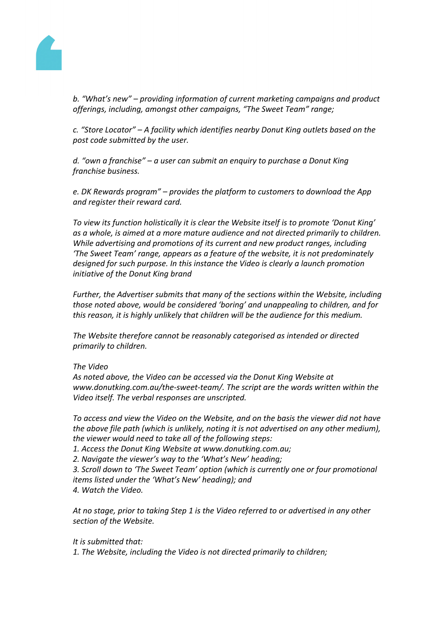

*b. "What's new" – providing information of current marketing campaigns and product offerings, including, amongst other campaigns, "The Sweet Team" range;*

*c. "Store Locator" – A facility which identifies nearby Donut King outlets based on the post code submitted by the user.*

*d. "own a franchise" – a user can submit an enquiry to purchase a Donut King franchise business.*

*e. DK Rewards program" – provides the platform to customers to download the App and register their reward card.*

*To view its function holistically it is clear the Website itself is to promote 'Donut King' as a whole, is aimed at a more mature audience and not directed primarily to children. While advertising and promotions of its current and new product ranges, including 'The Sweet Team' range, appears as a feature of the website, it is not predominately designed for such purpose. In this instance the Video is clearly a launch promotion initiative of the Donut King brand*

*Further, the Advertiser submits that many of the sections within the Website, including those noted above, would be considered 'boring' and unappealing to children, and for this reason, it is highly unlikely that children will be the audience for this medium.*

*The Website therefore cannot be reasonably categorised as intended or directed primarily to children.*

## *The Video*

*As noted above, the Video can be accessed via the Donut King Website at www.donutking.com.au/the-sweet-team/. The script are the words written within the Video itself. The verbal responses are unscripted.*

*To access and view the Video on the Website, and on the basis the viewer did not have the above file path (which is unlikely, noting it is not advertised on any other medium), the viewer would need to take all of the following steps:*

*1. Access the Donut King Website at www.donutking.com.au;*

*2. Navigate the viewer's way to the 'What's New' heading;*

*3. Scroll down to 'The Sweet Team' option (which is currently one or four promotional items listed under the 'What's New' heading); and 4. Watch the Video.*

*At no stage, prior to taking Step 1 is the Video referred to or advertised in any other section of the Website.*

## *It is submitted that:*

*1. The Website, including the Video is not directed primarily to children;*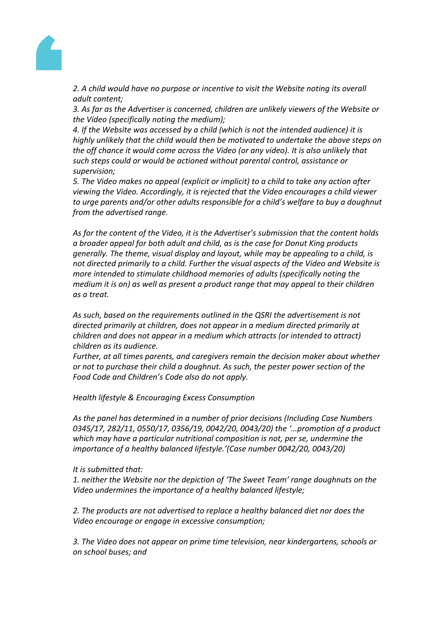

*2. A child would have no purpose or incentive to visit the Website noting its overall adult content;*

*3. As far as the Advertiser is concerned, children are unlikely viewers of the Website or the Video (specifically noting the medium);*

*4. If the Website was accessed by a child (which is not the intended audience) it is highly unlikely that the child would then be motivated to undertake the above steps on the off chance it would come across the Video (or any video). It is also unlikely that such steps could or would be actioned without parental control, assistance or supervision;*

*5. The Video makes no appeal (explicit or implicit) to a child to take any action after viewing the Video. Accordingly, it is rejected that the Video encourages a child viewer to urge parents and/or other adults responsible for a child's welfare to buy a doughnut from the advertised range.*

*As for the content of the Video, it is the Advertiser's submission that the content holds a broader appeal for both adult and child, as is the case for Donut King products generally. The theme, visual display and layout, while may be appealing to a child, is not directed primarily to a child. Further the visual aspects of the Video and Website is more intended to stimulate childhood memories of adults (specifically noting the medium it is on) as well as present a product range that may appeal to their children as a treat.*

*As such, based on the requirements outlined in the QSRI the advertisement is not directed primarily at children, does not appear in a medium directed primarily at children and does not appear in a medium which attracts (or intended to attract) children as its audience.*

*Further, at all times parents, and caregivers remain the decision maker about whether or not to purchase their child a doughnut. As such, the pester power section of the Food Code and Children's Code also do not apply.*

*Health lifestyle & Encouraging Excess Consumption*

*As the panel has determined in a number of prior decisions (Including Case Numbers 0345/17, 282/11, 0550/17, 0356/19, 0042/20, 0043/20) the '…promotion of a product which may have a particular nutritional composition is not, per se, undermine the importance of a healthy balanced lifestyle.'(Case number 0042/20, 0043/20)*

## *It is submitted that:*

*1. neither the Website nor the depiction of 'The Sweet Team' range doughnuts on the Video undermines the importance of a healthy balanced lifestyle;*

*2. The products are not advertised to replace a healthy balanced diet nor does the Video encourage or engage in excessive consumption;*

*3. The Video does not appear on prime time television, near kindergartens, schools or on school buses; and*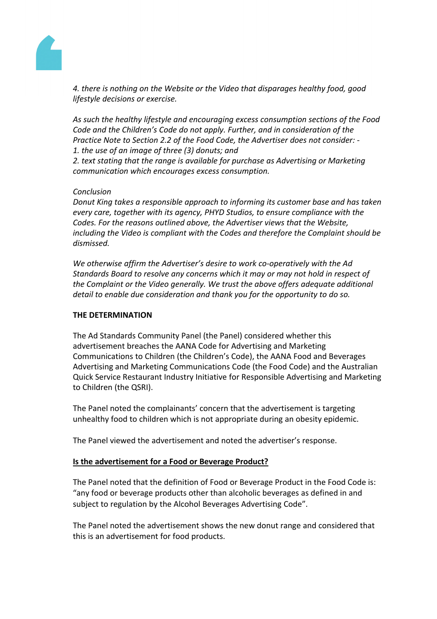

*4. there is nothing on the Website or the Video that disparages healthy food, good lifestyle decisions or exercise.*

*As such the healthy lifestyle and encouraging excess consumption sections of the Food Code and the Children's Code do not apply. Further, and in consideration of the Practice Note to Section 2.2 of the Food Code, the Advertiser does not consider: - 1. the use of an image of three (3) donuts; and*

*2. text stating that the range is available for purchase as Advertising or Marketing communication which encourages excess consumption.*

## *Conclusion*

*Donut King takes a responsible approach to informing its customer base and has taken every care, together with its agency, PHYD Studios, to ensure compliance with the Codes. For the reasons outlined above, the Advertiser views that the Website, including the Video is compliant with the Codes and therefore the Complaint should be dismissed.*

*We otherwise affirm the Advertiser's desire to work co-operatively with the Ad Standards Board to resolve any concerns which it may or may not hold in respect of the Complaint or the Video generally. We trust the above offers adequate additional detail to enable due consideration and thank you for the opportunity to do so.*

## **THE DETERMINATION**

The Ad Standards Community Panel (the Panel) considered whether this advertisement breaches the AANA Code for Advertising and Marketing Communications to Children (the Children's Code), the AANA Food and Beverages Advertising and Marketing Communications Code (the Food Code) and the Australian Quick Service Restaurant Industry Initiative for Responsible Advertising and Marketing to Children (the QSRI).

The Panel noted the complainants' concern that the advertisement is targeting unhealthy food to children which is not appropriate during an obesity epidemic.

The Panel viewed the advertisement and noted the advertiser's response.

## **Is the advertisement for a Food or Beverage Product?**

The Panel noted that the definition of Food or Beverage Product in the Food Code is: "any food or beverage products other than alcoholic beverages as defined in and subject to regulation by the Alcohol Beverages Advertising Code".

The Panel noted the advertisement shows the new donut range and considered that this is an advertisement for food products.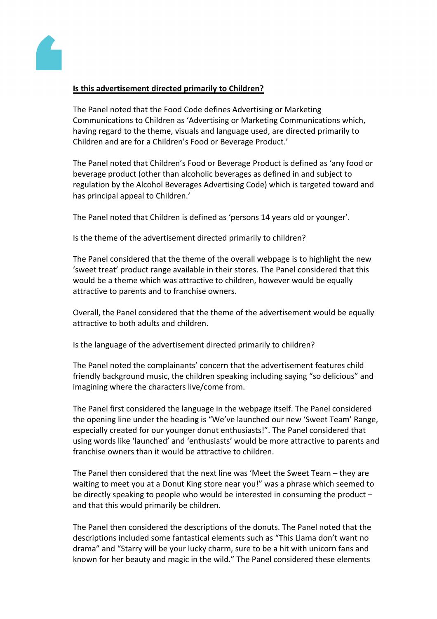

## **Is this advertisement directed primarily to Children?**

The Panel noted that the Food Code defines Advertising or Marketing Communications to Children as 'Advertising or Marketing Communications which, having regard to the theme, visuals and language used, are directed primarily to Children and are for a Children's Food or Beverage Product.'

The Panel noted that Children's Food or Beverage Product is defined as 'any food or beverage product (other than alcoholic beverages as defined in and subject to regulation by the Alcohol Beverages Advertising Code) which is targeted toward and has principal appeal to Children.'

The Panel noted that Children is defined as 'persons 14 years old or younger'.

## Is the theme of the advertisement directed primarily to children?

The Panel considered that the theme of the overall webpage is to highlight the new 'sweet treat' product range available in their stores. The Panel considered that this would be a theme which was attractive to children, however would be equally attractive to parents and to franchise owners.

Overall, the Panel considered that the theme of the advertisement would be equally attractive to both adults and children.

## Is the language of the advertisement directed primarily to children?

The Panel noted the complainants' concern that the advertisement features child friendly background music, the children speaking including saying "so delicious" and imagining where the characters live/come from.

The Panel first considered the language in the webpage itself. The Panel considered the opening line under the heading is "We've launched our new 'Sweet Team' Range, especially created for our younger donut enthusiasts!". The Panel considered that using words like 'launched' and 'enthusiasts' would be more attractive to parents and franchise owners than it would be attractive to children.

The Panel then considered that the next line was 'Meet the Sweet Team – they are waiting to meet you at a Donut King store near you!" was a phrase which seemed to be directly speaking to people who would be interested in consuming the product – and that this would primarily be children.

The Panel then considered the descriptions of the donuts. The Panel noted that the descriptions included some fantastical elements such as "This Llama don't want no drama" and "Starry will be your lucky charm, sure to be a hit with unicorn fans and known for her beauty and magic in the wild." The Panel considered these elements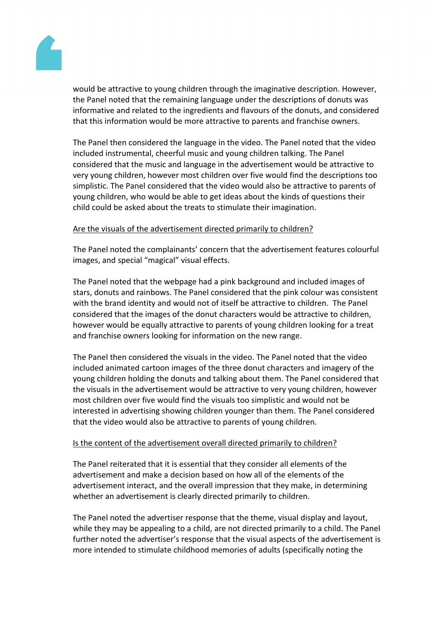

would be attractive to young children through the imaginative description. However, the Panel noted that the remaining language under the descriptions of donuts was informative and related to the ingredients and flavours of the donuts, and considered that this information would be more attractive to parents and franchise owners.

The Panel then considered the language in the video. The Panel noted that the video included instrumental, cheerful music and young children talking. The Panel considered that the music and language in the advertisement would be attractive to very young children, however most children over five would find the descriptions too simplistic. The Panel considered that the video would also be attractive to parents of young children, who would be able to get ideas about the kinds of questions their child could be asked about the treats to stimulate their imagination.

## Are the visuals of the advertisement directed primarily to children?

The Panel noted the complainants' concern that the advertisement features colourful images, and special "magical" visual effects.

The Panel noted that the webpage had a pink background and included images of stars, donuts and rainbows. The Panel considered that the pink colour was consistent with the brand identity and would not of itself be attractive to children. The Panel considered that the images of the donut characters would be attractive to children, however would be equally attractive to parents of young children looking for a treat and franchise owners looking for information on the new range.

The Panel then considered the visuals in the video. The Panel noted that the video included animated cartoon images of the three donut characters and imagery of the young children holding the donuts and talking about them. The Panel considered that the visuals in the advertisement would be attractive to very young children, however most children over five would find the visuals too simplistic and would not be interested in advertising showing children younger than them. The Panel considered that the video would also be attractive to parents of young children.

## Is the content of the advertisement overall directed primarily to children?

The Panel reiterated that it is essential that they consider all elements of the advertisement and make a decision based on how all of the elements of the advertisement interact, and the overall impression that they make, in determining whether an advertisement is clearly directed primarily to children.

The Panel noted the advertiser response that the theme, visual display and layout, while they may be appealing to a child, are not directed primarily to a child. The Panel further noted the advertiser's response that the visual aspects of the advertisement is more intended to stimulate childhood memories of adults (specifically noting the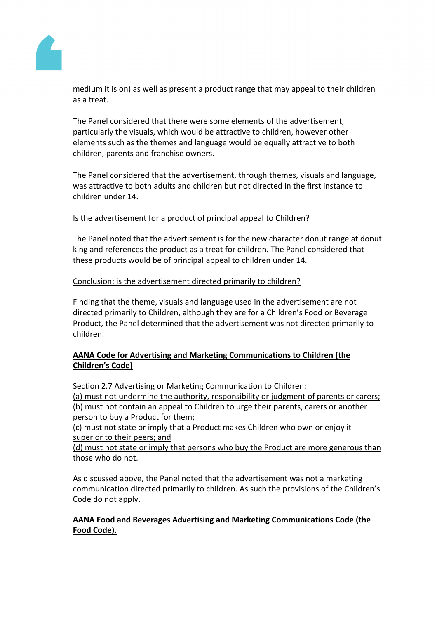

medium it is on) as well as present a product range that may appeal to their children as a treat.

The Panel considered that there were some elements of the advertisement, particularly the visuals, which would be attractive to children, however other elements such as the themes and language would be equally attractive to both children, parents and franchise owners.

The Panel considered that the advertisement, through themes, visuals and language, was attractive to both adults and children but not directed in the first instance to children under 14.

# Is the advertisement for a product of principal appeal to Children?

The Panel noted that the advertisement is for the new character donut range at donut king and references the product as a treat for children. The Panel considered that these products would be of principal appeal to children under 14.

## Conclusion: is the advertisement directed primarily to children?

Finding that the theme, visuals and language used in the advertisement are not directed primarily to Children, although they are for a Children's Food or Beverage Product, the Panel determined that the advertisement was not directed primarily to children.

# **AANA Code for Advertising and Marketing Communications to Children (the Children's Code)**

Section 2.7 Advertising or Marketing Communication to Children: (a) must not undermine the authority, responsibility or judgment of parents or carers; (b) must not contain an appeal to Children to urge their parents, carers or another person to buy a Product for them;

(c) must not state or imply that a Product makes Children who own or enjoy it superior to their peers; and

(d) must not state or imply that persons who buy the Product are more generous than those who do not.

As discussed above, the Panel noted that the advertisement was not a marketing communication directed primarily to children. As such the provisions of the Children's Code do not apply.

# **AANA Food and Beverages Advertising and Marketing Communications Code (the Food Code).**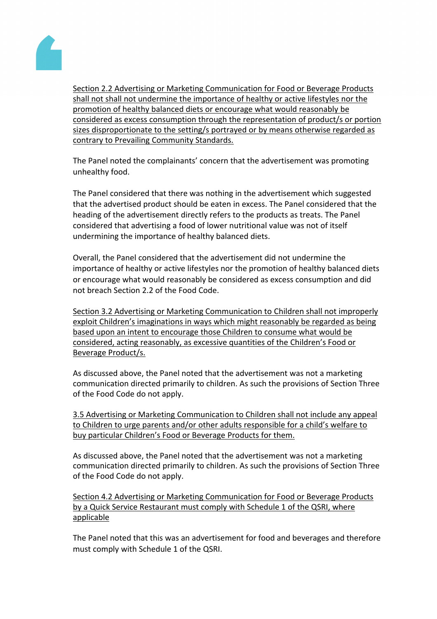

Section 2.2 Advertising or Marketing Communication for Food or Beverage Products shall not shall not undermine the importance of healthy or active lifestyles nor the promotion of healthy balanced diets or encourage what would reasonably be considered as excess consumption through the representation of product/s or portion sizes disproportionate to the setting/s portrayed or by means otherwise regarded as contrary to Prevailing Community Standards.

The Panel noted the complainants' concern that the advertisement was promoting unhealthy food.

The Panel considered that there was nothing in the advertisement which suggested that the advertised product should be eaten in excess. The Panel considered that the heading of the advertisement directly refers to the products as treats. The Panel considered that advertising a food of lower nutritional value was not of itself undermining the importance of healthy balanced diets.

Overall, the Panel considered that the advertisement did not undermine the importance of healthy or active lifestyles nor the promotion of healthy balanced diets or encourage what would reasonably be considered as excess consumption and did not breach Section 2.2 of the Food Code.

Section 3.2 Advertising or Marketing Communication to Children shall not improperly exploit Children's imaginations in ways which might reasonably be regarded as being based upon an intent to encourage those Children to consume what would be considered, acting reasonably, as excessive quantities of the Children's Food or Beverage Product/s.

As discussed above, the Panel noted that the advertisement was not a marketing communication directed primarily to children. As such the provisions of Section Three of the Food Code do not apply.

3.5 Advertising or Marketing Communication to Children shall not include any appeal to Children to urge parents and/or other adults responsible for a child's welfare to buy particular Children's Food or Beverage Products for them.

As discussed above, the Panel noted that the advertisement was not a marketing communication directed primarily to children. As such the provisions of Section Three of the Food Code do not apply.

Section 4.2 Advertising or Marketing Communication for Food or Beverage Products by a Quick Service Restaurant must comply with Schedule 1 of the QSRI, where applicable

The Panel noted that this was an advertisement for food and beverages and therefore must comply with Schedule 1 of the QSRI.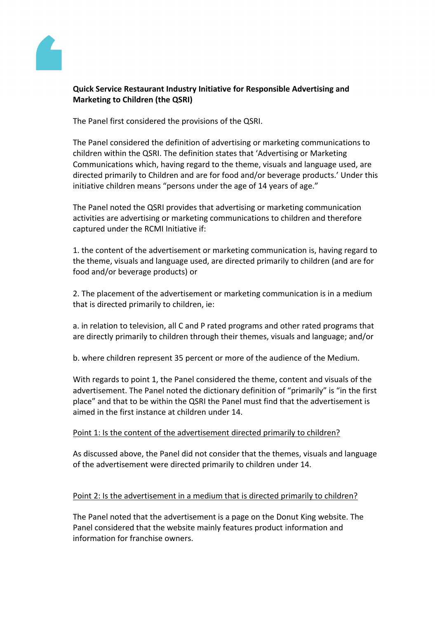

# **Quick Service Restaurant Industry Initiative for Responsible Advertising and Marketing to Children (the QSRI)**

The Panel first considered the provisions of the QSRI.

The Panel considered the definition of advertising or marketing communications to children within the QSRI. The definition states that 'Advertising or Marketing Communications which, having regard to the theme, visuals and language used, are directed primarily to Children and are for food and/or beverage products.' Under this initiative children means "persons under the age of 14 years of age."

The Panel noted the QSRI provides that advertising or marketing communication activities are advertising or marketing communications to children and therefore captured under the RCMI Initiative if:

1. the content of the advertisement or marketing communication is, having regard to the theme, visuals and language used, are directed primarily to children (and are for food and/or beverage products) or

2. The placement of the advertisement or marketing communication is in a medium that is directed primarily to children, ie:

a. in relation to television, all C and P rated programs and other rated programs that are directly primarily to children through their themes, visuals and language; and/or

b. where children represent 35 percent or more of the audience of the Medium.

With regards to point 1, the Panel considered the theme, content and visuals of the advertisement. The Panel noted the dictionary definition of "primarily" is "in the first place" and that to be within the QSRI the Panel must find that the advertisement is aimed in the first instance at children under 14.

# Point 1: Is the content of the advertisement directed primarily to children?

As discussed above, the Panel did not consider that the themes, visuals and language of the advertisement were directed primarily to children under 14.

# Point 2: Is the advertisement in a medium that is directed primarily to children?

The Panel noted that the advertisement is a page on the Donut King website. The Panel considered that the website mainly features product information and information for franchise owners.